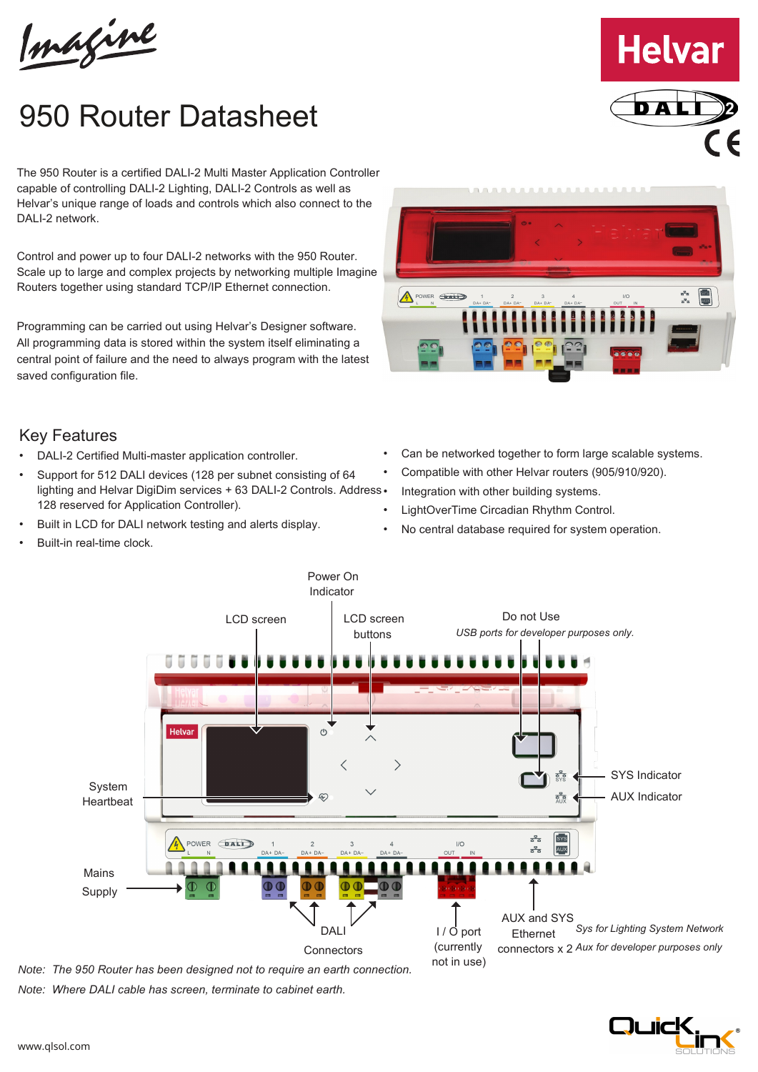Imagine

## 950 Router Datasheet

The 950 Router is a certified DALI-2 Multi Master Application Controller capable of controlling DALI-2 Lighting, DALI-2 Controls as well as Helvar's unique range of loads and controls which also connect to the DAI I-2 network.

Control and power up to four DALI-2 networks with the 950 Router. Scale up to large and complex projects by networking multiple Imagine Routers together using standard TCP/IP Ethernet connection.

Programming can be carried out using Helvar's Designer software. All programming data is stored within the system itself eliminating a central point of failure and the need to always program with the latest saved configuration file.



**Helvar** 

## Key Features

- DALI-2 Certified Multi-master application controller.
- Support for 512 DALI devices (128 per subnet consisting of 64 lighting and Helvar DigiDim services + 63 DALI-2 Controls. Address . 128 reserved for Application Controller).
- Built in LCD for DALI network testing and alerts display.
- Built-in real-time clock.
- Can be networked together to form large scalable systems.
- Compatible with other Helvar routers (905/910/920).
- Integration with other building systems.
- LightOverTime Circadian Rhythm Control.
- No central database required for system operation.



*Note: Where DALI cable has screen, terminate to cabinet earth.*